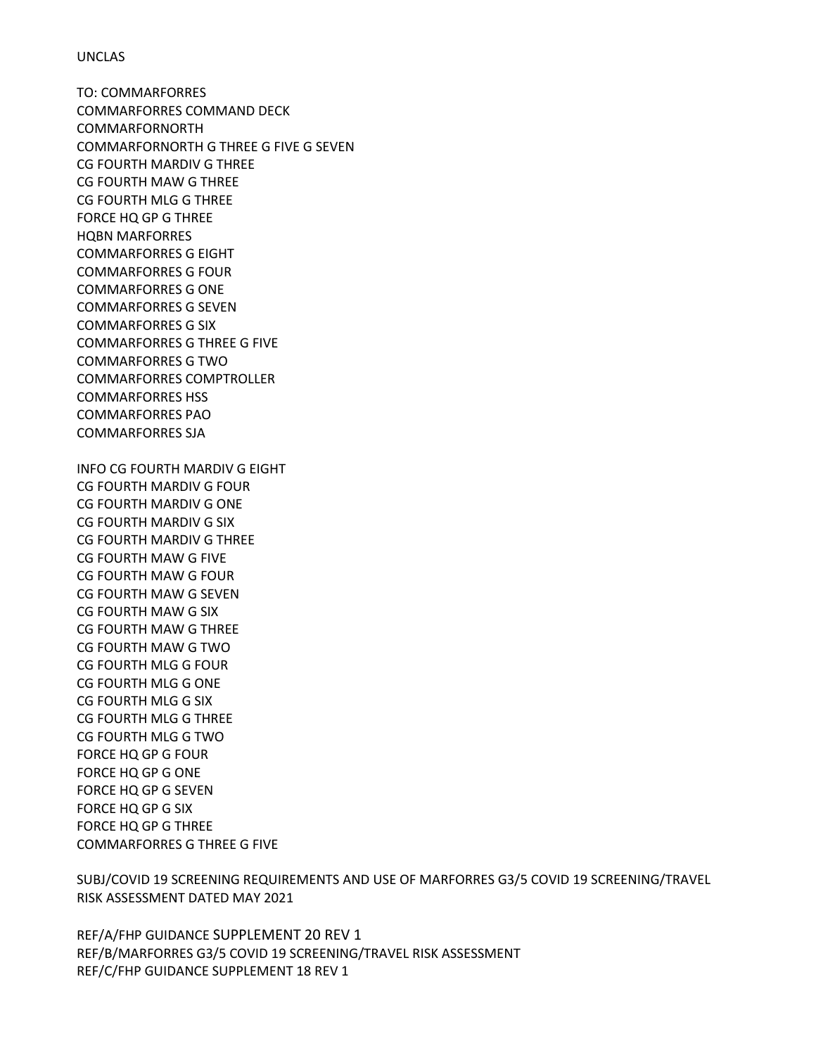## UNCLAS

TO: COMMARFORRES COMMARFORRES COMMAND DECK COMMARFORNORTH COMMARFORNORTH G THREE G FIVE G SEVEN CG FOURTH MARDIV G THREE CG FOURTH MAW G THREE CG FOURTH MLG G THREE FORCE HQ GP G THREE HQBN MARFORRES COMMARFORRES G EIGHT COMMARFORRES G FOUR COMMARFORRES G ONE COMMARFORRES G SEVEN COMMARFORRES G SIX COMMARFORRES G THREE G FIVE COMMARFORRES G TWO COMMARFORRES COMPTROLLER COMMARFORRES HSS COMMARFORRES PAO COMMARFORRES SJA INFO CG FOURTH MARDIV G EIGHT CG FOURTH MARDIV G FOUR CG FOURTH MARDIV G ONE CG FOURTH MARDIV G SIX CG FOURTH MARDIV G THREE CG FOURTH MAW G FIVE CG FOURTH MAW G FOUR

CG FOURTH MAW G SEVEN CG FOURTH MAW G SIX CG FOURTH MAW G THREE CG FOURTH MAW G TWO CG FOURTH MLG G FOUR CG FOURTH MLG G ONE CG FOURTH MLG G SIX CG FOURTH MLG G THREE CG FOURTH MLG G TWO FORCE HQ GP G FOUR FORCE HQ GP G ONE FORCE HQ GP G SEVEN FORCE HQ GP G SIX FORCE HQ GP G THREE COMMARFORRES G THREE G FIVE

SUBJ/COVID 19 SCREENING REQUIREMENTS AND USE OF MARFORRES G3/5 COVID 19 SCREENING/TRAVEL RISK ASSESSMENT DATED MAY 2021

REF/A/FHP GUIDANCE SUPPLEMENT 20 REV 1 REF/B/MARFORRES G3/5 COVID 19 SCREENING/TRAVEL RISK ASSESSMENT REF/C/FHP GUIDANCE SUPPLEMENT 18 REV 1